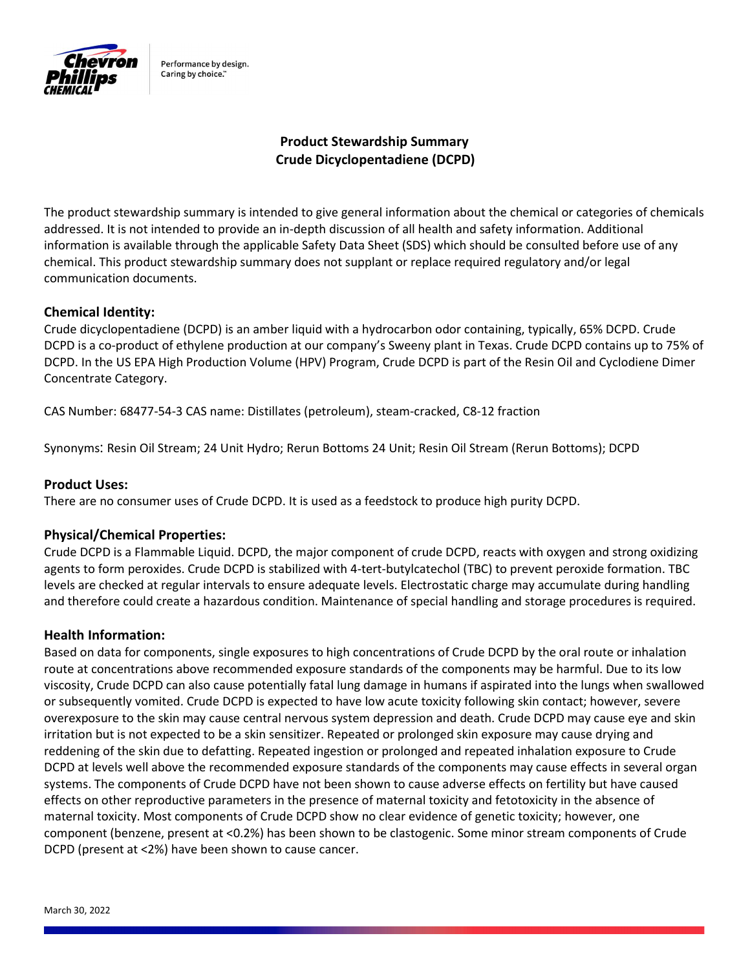

Performance by design. Caring by choice."

# Product Stewardship Summary Crude Dicyclopentadiene (DCPD)

The product stewardship summary is intended to give general information about the chemical or categories of chemicals addressed. It is not intended to provide an in-depth discussion of all health and safety information. Additional information is available through the applicable Safety Data Sheet (SDS) which should be consulted before use of any chemical. This product stewardship summary does not supplant or replace required regulatory and/or legal communication documents.

# Chemical Identity:

Crude dicyclopentadiene (DCPD) is an amber liquid with a hydrocarbon odor containing, typically, 65% DCPD. Crude DCPD is a co-product of ethylene production at our company's Sweeny plant in Texas. Crude DCPD contains up to 75% of DCPD. In the US EPA High Production Volume (HPV) Program, Crude DCPD is part of the Resin Oil and Cyclodiene Dimer Concentrate Category.

CAS Number: 68477-54-3 CAS name: Distillates (petroleum), steam-cracked, C8-12 fraction

Synonyms: Resin Oil Stream; 24 Unit Hydro; Rerun Bottoms 24 Unit; Resin Oil Stream (Rerun Bottoms); DCPD

### Product Uses:

There are no consumer uses of Crude DCPD. It is used as a feedstock to produce high purity DCPD.

### Physical/Chemical Properties:

Crude DCPD is a Flammable Liquid. DCPD, the major component of crude DCPD, reacts with oxygen and strong oxidizing agents to form peroxides. Crude DCPD is stabilized with 4-tert-butylcatechol (TBC) to prevent peroxide formation. TBC levels are checked at regular intervals to ensure adequate levels. Electrostatic charge may accumulate during handling and therefore could create a hazardous condition. Maintenance of special handling and storage procedures is required.

### Health Information:

Based on data for components, single exposures to high concentrations of Crude DCPD by the oral route or inhalation route at concentrations above recommended exposure standards of the components may be harmful. Due to its low viscosity, Crude DCPD can also cause potentially fatal lung damage in humans if aspirated into the lungs when swallowed or subsequently vomited. Crude DCPD is expected to have low acute toxicity following skin contact; however, severe overexposure to the skin may cause central nervous system depression and death. Crude DCPD may cause eye and skin irritation but is not expected to be a skin sensitizer. Repeated or prolonged skin exposure may cause drying and reddening of the skin due to defatting. Repeated ingestion or prolonged and repeated inhalation exposure to Crude DCPD at levels well above the recommended exposure standards of the components may cause effects in several organ systems. The components of Crude DCPD have not been shown to cause adverse effects on fertility but have caused effects on other reproductive parameters in the presence of maternal toxicity and fetotoxicity in the absence of maternal toxicity. Most components of Crude DCPD show no clear evidence of genetic toxicity; however, one component (benzene, present at <0.2%) has been shown to be clastogenic. Some minor stream components of Crude DCPD (present at <2%) have been shown to cause cancer.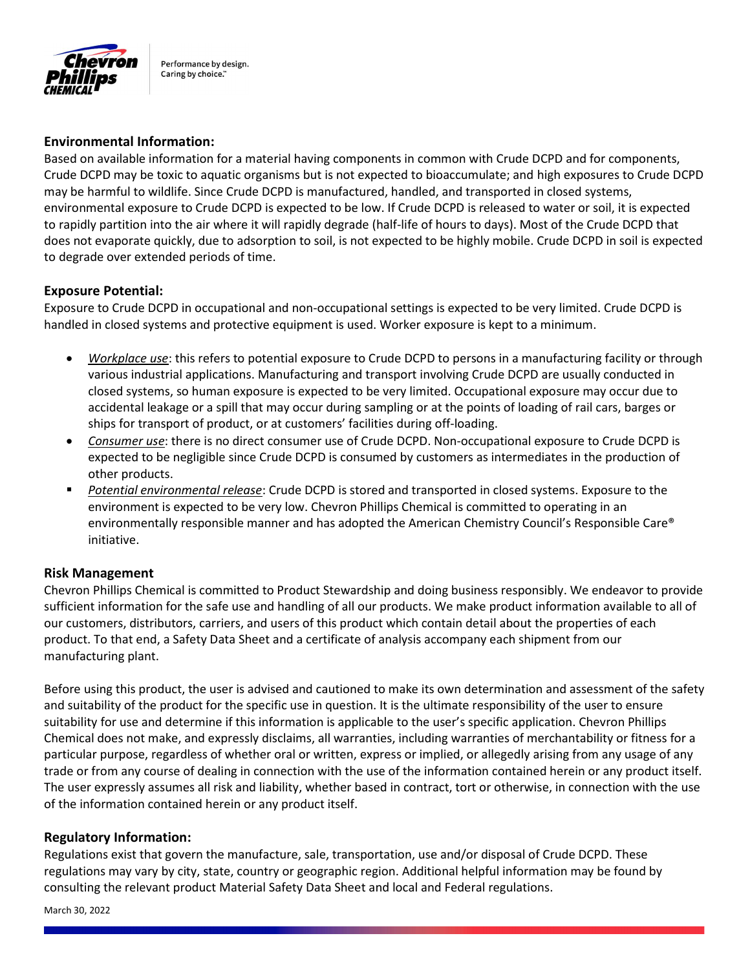

Performance by design. Caring by choice."

# Environmental Information:

Based on available information for a material having components in common with Crude DCPD and for components, Crude DCPD may be toxic to aquatic organisms but is not expected to bioaccumulate; and high exposures to Crude DCPD may be harmful to wildlife. Since Crude DCPD is manufactured, handled, and transported in closed systems, environmental exposure to Crude DCPD is expected to be low. If Crude DCPD is released to water or soil, it is expected to rapidly partition into the air where it will rapidly degrade (half-life of hours to days). Most of the Crude DCPD that does not evaporate quickly, due to adsorption to soil, is not expected to be highly mobile. Crude DCPD in soil is expected to degrade over extended periods of time.

### Exposure Potential:

Exposure to Crude DCPD in occupational and non-occupational settings is expected to be very limited. Crude DCPD is handled in closed systems and protective equipment is used. Worker exposure is kept to a minimum.

- Workplace use: this refers to potential exposure to Crude DCPD to persons in a manufacturing facility or through various industrial applications. Manufacturing and transport involving Crude DCPD are usually conducted in closed systems, so human exposure is expected to be very limited. Occupational exposure may occur due to accidental leakage or a spill that may occur during sampling or at the points of loading of rail cars, barges or ships for transport of product, or at customers' facilities during off-loading.
- Consumer use: there is no direct consumer use of Crude DCPD. Non-occupational exposure to Crude DCPD is expected to be negligible since Crude DCPD is consumed by customers as intermediates in the production of other products.
- Potential environmental release: Crude DCPD is stored and transported in closed systems. Exposure to the environment is expected to be very low. Chevron Phillips Chemical is committed to operating in an environmentally responsible manner and has adopted the American Chemistry Council's Responsible Care® initiative.

### Risk Management

Chevron Phillips Chemical is committed to Product Stewardship and doing business responsibly. We endeavor to provide sufficient information for the safe use and handling of all our products. We make product information available to all of our customers, distributors, carriers, and users of this product which contain detail about the properties of each product. To that end, a Safety Data Sheet and a certificate of analysis accompany each shipment from our manufacturing plant.

Before using this product, the user is advised and cautioned to make its own determination and assessment of the safety and suitability of the product for the specific use in question. It is the ultimate responsibility of the user to ensure suitability for use and determine if this information is applicable to the user's specific application. Chevron Phillips Chemical does not make, and expressly disclaims, all warranties, including warranties of merchantability or fitness for a particular purpose, regardless of whether oral or written, express or implied, or allegedly arising from any usage of any trade or from any course of dealing in connection with the use of the information contained herein or any product itself. The user expressly assumes all risk and liability, whether based in contract, tort or otherwise, in connection with the use of the information contained herein or any product itself.

### Regulatory Information:

Regulations exist that govern the manufacture, sale, transportation, use and/or disposal of Crude DCPD. These regulations may vary by city, state, country or geographic region. Additional helpful information may be found by consulting the relevant product Material Safety Data Sheet and local and Federal regulations.

March 30, 2022